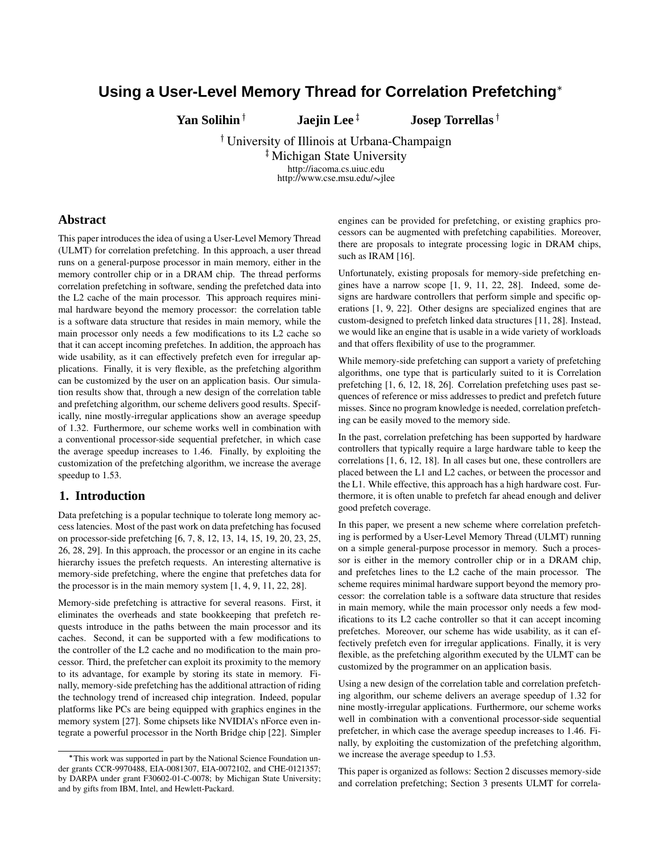# **Using a User-Level Memory Thread for Correlation Prefetching**

**Yan Solihin**

**Jaejin Lee** -

**Josep Torrellas**

 University of Illinois at Urbana-Champaign - Michigan State University http://iacoma.cs.uiuc.edu http://www.cse.msu.edu/ $\sim$ jlee

# **Abstract**

This paper introduces the idea of using a User-Level Memory Thread (ULMT) for correlation prefetching. In this approach, a user thread runs on a general-purpose processor in main memory, either in the memory controller chip or in a DRAM chip. The thread performs correlation prefetching in software, sending the prefetched data into the L2 cache of the main processor. This approach requires minimal hardware beyond the memory processor: the correlation table is a software data structure that resides in main memory, while the main processor only needs a few modifications to its L2 cache so that it can accept incoming prefetches. In addition, the approach has wide usability, as it can effectively prefetch even for irregular applications. Finally, it is very flexible, as the prefetching algorithm can be customized by the user on an application basis. Our simulation results show that, through a new design of the correlation table and prefetching algorithm, our scheme delivers good results. Specifically, nine mostly-irregular applications show an average speedup of 1.32. Furthermore, our scheme works well in combination with a conventional processor-side sequential prefetcher, in which case the average speedup increases to 1.46. Finally, by exploiting the customization of the prefetching algorithm, we increase the average speedup to 1.53.

# **1. Introduction**

Data prefetching is a popular technique to tolerate long memory access latencies. Most of the past work on data prefetching has focused on processor-side prefetching [6, 7, 8, 12, 13, 14, 15, 19, 20, 23, 25, 26, 28, 29]. In this approach, the processor or an engine in its cache hierarchy issues the prefetch requests. An interesting alternative is memory-side prefetching, where the engine that prefetches data for the processor is in the main memory system [1, 4, 9, 11, 22, 28].

Memory-side prefetching is attractive for several reasons. First, it eliminates the overheads and state bookkeeping that prefetch requests introduce in the paths between the main processor and its caches. Second, it can be supported with a few modifications to the controller of the L2 cache and no modification to the main processor. Third, the prefetcher can exploit its proximity to the memory to its advantage, for example by storing its state in memory. Finally, memory-side prefetching has the additional attraction of riding the technology trend of increased chip integration. Indeed, popular platforms like PCs are being equipped with graphics engines in the memory system [27]. Some chipsets like NVIDIA's nForce even integrate a powerful processor in the North Bridge chip [22]. Simpler engines can be provided for prefetching, or existing graphics processors can be augmented with prefetching capabilities. Moreover, there are proposals to integrate processing logic in DRAM chips, such as IRAM [16].

Unfortunately, existing proposals for memory-side prefetching engines have a narrow scope [1, 9, 11, 22, 28]. Indeed, some designs are hardware controllers that perform simple and specific operations [1, 9, 22]. Other designs are specialized engines that are custom-designed to prefetch linked data structures [11, 28]. Instead, we would like an engine that is usable in a wide variety of workloads and that offers flexibility of use to the programmer.

While memory-side prefetching can support a variety of prefetching algorithms, one type that is particularly suited to it is Correlation prefetching [1, 6, 12, 18, 26]. Correlation prefetching uses past sequences of reference or miss addresses to predict and prefetch future misses. Since no program knowledge is needed, correlation prefetching can be easily moved to the memory side.

In the past, correlation prefetching has been supported by hardware controllers that typically require a large hardware table to keep the correlations [1, 6, 12, 18]. In all cases but one, these controllers are placed between the L1 and L2 caches, or between the processor and the L1. While effective, this approach has a high hardware cost. Furthermore, it is often unable to prefetch far ahead enough and deliver good prefetch coverage.

In this paper, we present a new scheme where correlation prefetching is performed by a User-Level Memory Thread (ULMT) running on a simple general-purpose processor in memory. Such a processor is either in the memory controller chip or in a DRAM chip, and prefetches lines to the L2 cache of the main processor. The scheme requires minimal hardware support beyond the memory processor: the correlation table is a software data structure that resides in main memory, while the main processor only needs a few modifications to its L2 cache controller so that it can accept incoming prefetches. Moreover, our scheme has wide usability, as it can effectively prefetch even for irregular applications. Finally, it is very flexible, as the prefetching algorithm executed by the ULMT can be customized by the programmer on an application basis.

Using a new design of the correlation table and correlation prefetching algorithm, our scheme delivers an average speedup of 1.32 for nine mostly-irregular applications. Furthermore, our scheme works well in combination with a conventional processor-side sequential prefetcher, in which case the average speedup increases to 1.46. Finally, by exploiting the customization of the prefetching algorithm, we increase the average speedup to 1.53.

This paper is organized as follows: Section 2 discusses memory-side and correlation prefetching; Section 3 presents ULMT for correla-

This work was supported in part by the National Science Foundation under grants CCR-9970488, EIA-0081307, EIA-0072102, and CHE-0121357; by DARPA under grant F30602-01-C-0078; by Michigan State University; and by gifts from IBM, Intel, and Hewlett-Packard.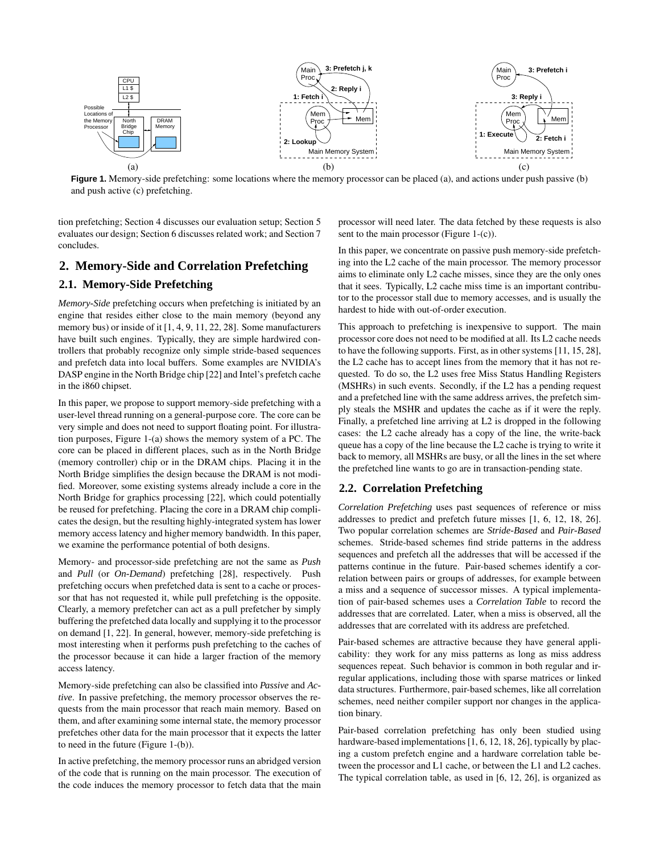

**Figure 1.** Memory-side prefetching: some locations where the memory processor can be placed (a), and actions under push passive (b) and push active (c) prefetching.

tion prefetching; Section 4 discusses our evaluation setup; Section 5 evaluates our design; Section 6 discusses related work; and Section 7 concludes.

# **2. Memory-Side and Correlation Prefetching**

### **2.1. Memory-Side Prefetching**

*Memory-Side* prefetching occurs when prefetching is initiated by an engine that resides either close to the main memory (beyond any memory bus) or inside of it [1, 4, 9, 11, 22, 28]. Some manufacturers have built such engines. Typically, they are simple hardwired controllers that probably recognize only simple stride-based sequences and prefetch data into local buffers. Some examples are NVIDIA's DASP engine in the North Bridge chip [22] and Intel's prefetch cache in the i860 chipset.

In this paper, we propose to support memory-side prefetching with a user-level thread running on a general-purpose core. The core can be very simple and does not need to support floating point. For illustration purposes, Figure 1-(a) shows the memory system of a PC. The core can be placed in different places, such as in the North Bridge (memory controller) chip or in the DRAM chips. Placing it in the North Bridge simplifies the design because the DRAM is not modified. Moreover, some existing systems already include a core in the North Bridge for graphics processing [22], which could potentially be reused for prefetching. Placing the core in a DRAM chip complicates the design, but the resulting highly-integrated system has lower memory access latency and higher memory bandwidth. In this paper, we examine the performance potential of both designs.

Memory- and processor-side prefetching are not the same as *Push* and *Pull* (or *On-Demand*) prefetching [28], respectively. Push prefetching occurs when prefetched data is sent to a cache or processor that has not requested it, while pull prefetching is the opposite. Clearly, a memory prefetcher can act as a pull prefetcher by simply buffering the prefetched data locally and supplying it to the processor on demand [1, 22]. In general, however, memory-side prefetching is most interesting when it performs push prefetching to the caches of the processor because it can hide a larger fraction of the memory access latency.

Memory-side prefetching can also be classified into *Passive* and *Active*. In passive prefetching, the memory processor observes the requests from the main processor that reach main memory. Based on them, and after examining some internal state, the memory processor prefetches other data for the main processor that it expects the latter to need in the future (Figure 1-(b)).

In active prefetching, the memory processor runs an abridged version of the code that is running on the main processor. The execution of the code induces the memory processor to fetch data that the main

processor will need later. The data fetched by these requests is also sent to the main processor (Figure 1-(c)).

In this paper, we concentrate on passive push memory-side prefetching into the L2 cache of the main processor. The memory processor aims to eliminate only L2 cache misses, since they are the only ones that it sees. Typically, L2 cache miss time is an important contributor to the processor stall due to memory accesses, and is usually the hardest to hide with out-of-order execution.

This approach to prefetching is inexpensive to support. The main processor core does not need to be modified at all. Its L2 cache needs to have the following supports. First, as in other systems [11, 15, 28], the L2 cache has to accept lines from the memory that it has not requested. To do so, the L2 uses free Miss Status Handling Registers (MSHRs) in such events. Secondly, if the L2 has a pending request and a prefetched line with the same address arrives, the prefetch simply steals the MSHR and updates the cache as if it were the reply. Finally, a prefetched line arriving at L2 is dropped in the following cases: the L2 cache already has a copy of the line, the write-back queue has a copy of the line because the L2 cache is trying to write it back to memory, all MSHRs are busy, or all the lines in the set where the prefetched line wants to go are in transaction-pending state.

#### **2.2. Correlation Prefetching**

*Correlation Prefetching* uses past sequences of reference or miss addresses to predict and prefetch future misses [1, 6, 12, 18, 26]. Two popular correlation schemes are *Stride-Based* and *Pair-Based* schemes. Stride-based schemes find stride patterns in the address sequences and prefetch all the addresses that will be accessed if the patterns continue in the future. Pair-based schemes identify a correlation between pairs or groups of addresses, for example between a miss and a sequence of successor misses. A typical implementation of pair-based schemes uses a *Correlation Table* to record the addresses that are correlated. Later, when a miss is observed, all the addresses that are correlated with its address are prefetched.

Pair-based schemes are attractive because they have general applicability: they work for any miss patterns as long as miss address sequences repeat. Such behavior is common in both regular and irregular applications, including those with sparse matrices or linked data structures. Furthermore, pair-based schemes, like all correlation schemes, need neither compiler support nor changes in the application binary.

Pair-based correlation prefetching has only been studied using hardware-based implementations [1, 6, 12, 18, 26], typically by placing a custom prefetch engine and a hardware correlation table between the processor and L1 cache, or between the L1 and L2 caches. The typical correlation table, as used in [6, 12, 26], is organized as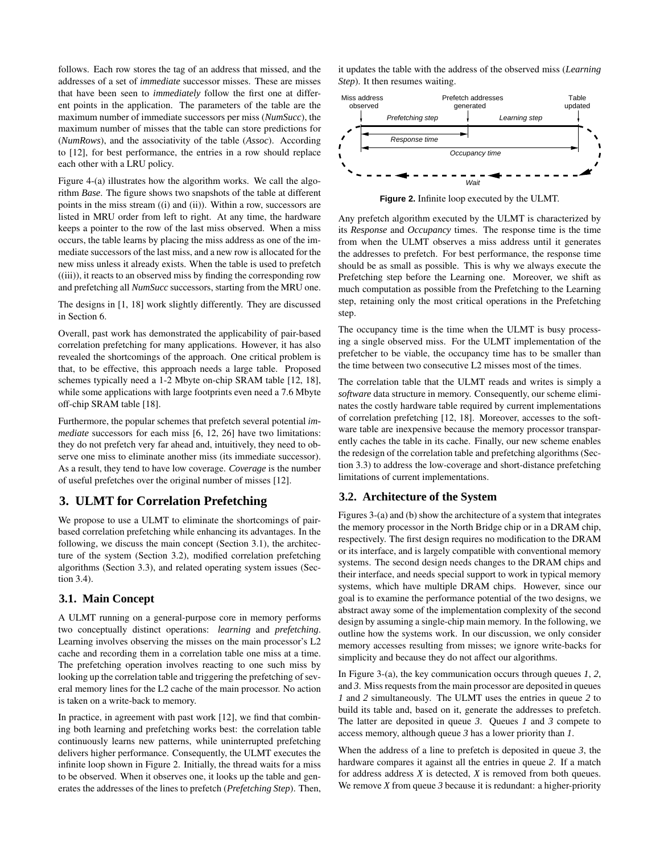follows. Each row stores the tag of an address that missed, and the addresses of a set of *immediate* successor misses. These are misses that have been seen to *immediately* follow the first one at different points in the application. The parameters of the table are the maximum number of immediate successors per miss (*NumSucc*), the maximum number of misses that the table can store predictions for (*NumRows*), and the associativity of the table (*Assoc*). According to [12], for best performance, the entries in a row should replace each other with a LRU policy.

Figure 4-(a) illustrates how the algorithm works. We call the algorithm *Base*. The figure shows two snapshots of the table at different points in the miss stream ((i) and (ii)). Within a row, successors are listed in MRU order from left to right. At any time, the hardware keeps a pointer to the row of the last miss observed. When a miss occurs, the table learns by placing the miss address as one of the immediate successors of the last miss, and a new row is allocated for the new miss unless it already exists. When the table is used to prefetch ((iii)), it reacts to an observed miss by finding the corresponding row and prefetching all *NumSucc* successors, starting from the MRU one.

The designs in [1, 18] work slightly differently. They are discussed in Section 6.

Overall, past work has demonstrated the applicability of pair-based correlation prefetching for many applications. However, it has also revealed the shortcomings of the approach. One critical problem is that, to be effective, this approach needs a large table. Proposed schemes typically need a 1-2 Mbyte on-chip SRAM table [12, 18], while some applications with large footprints even need a 7.6 Mbyte off-chip SRAM table [18].

Furthermore, the popular schemes that prefetch several potential *immediate* successors for each miss [6, 12, 26] have two limitations: they do not prefetch very far ahead and, intuitively, they need to observe one miss to eliminate another miss (its immediate successor). As a result, they tend to have low coverage. *Coverage* is the number of useful prefetches over the original number of misses [12].

# **3. ULMT for Correlation Prefetching**

We propose to use a ULMT to eliminate the shortcomings of pairbased correlation prefetching while enhancing its advantages. In the following, we discuss the main concept (Section 3.1), the architecture of the system (Section 3.2), modified correlation prefetching algorithms (Section 3.3), and related operating system issues (Section 3.4).

# **3.1. Main Concept**

A ULMT running on a general-purpose core in memory performs two conceptually distinct operations: *learning* and *prefetching*. Learning involves observing the misses on the main processor's L2 cache and recording them in a correlation table one miss at a time. The prefetching operation involves reacting to one such miss by looking up the correlation table and triggering the prefetching of several memory lines for the L2 cache of the main processor. No action is taken on a write-back to memory.

In practice, in agreement with past work [12], we find that combining both learning and prefetching works best: the correlation table continuously learns new patterns, while uninterrupted prefetching delivers higher performance. Consequently, the ULMT executes the infinite loop shown in Figure 2. Initially, the thread waits for a miss to be observed. When it observes one, it looks up the table and generates the addresses of the lines to prefetch (*Prefetching Step*). Then,

it updates the table with the address of the observed miss (*Learning Step*). It then resumes waiting.



**Figure 2.** Infinite loop executed by the ULMT.

Any prefetch algorithm executed by the ULMT is characterized by its *Response* and *Occupancy* times. The response time is the time from when the ULMT observes a miss address until it generates the addresses to prefetch. For best performance, the response time should be as small as possible. This is why we always execute the Prefetching step before the Learning one. Moreover, we shift as much computation as possible from the Prefetching to the Learning step, retaining only the most critical operations in the Prefetching step.

The occupancy time is the time when the ULMT is busy processing a single observed miss. For the ULMT implementation of the prefetcher to be viable, the occupancy time has to be smaller than the time between two consecutive L2 misses most of the times.

The correlation table that the ULMT reads and writes is simply a *software* data structure in memory. Consequently, our scheme eliminates the costly hardware table required by current implementations of correlation prefetching [12, 18]. Moreover, accesses to the software table are inexpensive because the memory processor transparently caches the table in its cache. Finally, our new scheme enables the redesign of the correlation table and prefetching algorithms (Section 3.3) to address the low-coverage and short-distance prefetching limitations of current implementations.

### **3.2. Architecture of the System**

Figures 3-(a) and (b) show the architecture of a system that integrates the memory processor in the North Bridge chip or in a DRAM chip, respectively. The first design requires no modification to the DRAM or its interface, and is largely compatible with conventional memory systems. The second design needs changes to the DRAM chips and their interface, and needs special support to work in typical memory systems, which have multiple DRAM chips. However, since our goal is to examine the performance potential of the two designs, we abstract away some of the implementation complexity of the second design by assuming a single-chip main memory. In the following, we outline how the systems work. In our discussion, we only consider memory accesses resulting from misses; we ignore write-backs for simplicity and because they do not affect our algorithms.

In Figure 3-(a), the key communication occurs through queues *1*, *2*, and 3. Miss requests from the main processor are deposited in queues *1* and *2* simultaneously. The ULMT uses the entries in queue *2* to build its table and, based on it, generate the addresses to prefetch. The latter are deposited in queue *3*. Queues *1* and *3* compete to access memory, although queue *3* has a lower priority than *1*.

When the address of a line to prefetch is deposited in queue *3*, the hardware compares it against all the entries in queue *2*. If a match for address address *X* is detected, *X* is removed from both queues. We remove *X* from queue *3* because it is redundant: a higher-priority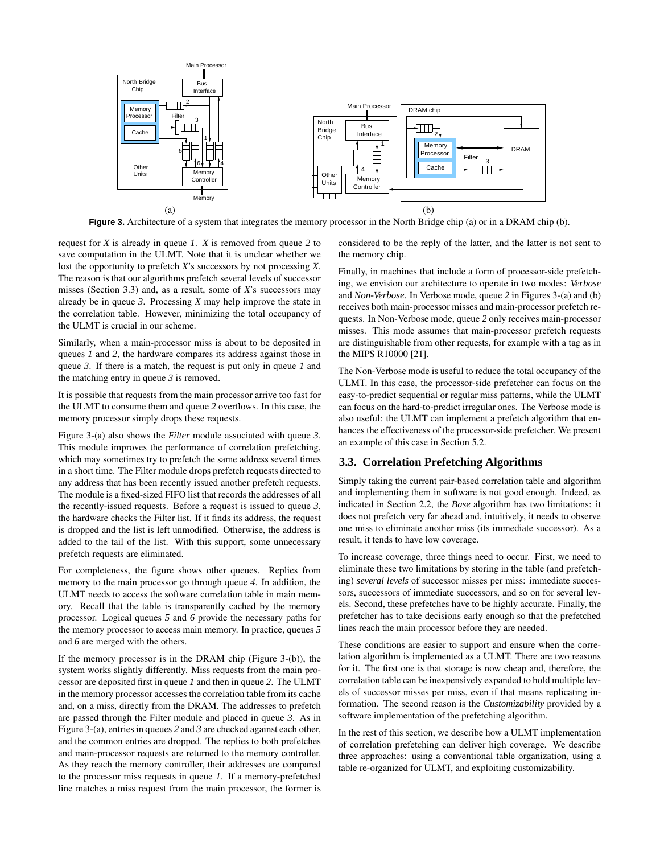

**Figure 3.** Architecture of a system that integrates the memory processor in the North Bridge chip (a) or in a DRAM chip (b).

request for *X* is already in queue *1*. *X* is removed from queue *2* to save computation in the ULMT. Note that it is unclear whether we lost the opportunity to prefetch *X*'s successors by not processing *X*. The reason is that our algorithms prefetch several levels of successor misses (Section 3.3) and, as a result, some of *X*'s successors may already be in queue *3*. Processing *X* may help improve the state in the correlation table. However, minimizing the total occupancy of the ULMT is crucial in our scheme.

Similarly, when a main-processor miss is about to be deposited in queues *1* and *2*, the hardware compares its address against those in queue *3*. If there is a match, the request is put only in queue *1* and the matching entry in queue *3* is removed.

It is possible that requests from the main processor arrive too fast for the ULMT to consume them and queue *2* overflows. In this case, the memory processor simply drops these requests.

Figure 3-(a) also shows the *Filter* module associated with queue *3*. This module improves the performance of correlation prefetching, which may sometimes try to prefetch the same address several times in a short time. The Filter module drops prefetch requests directed to any address that has been recently issued another prefetch requests. The module is a fixed-sized FIFO list that records the addresses of all the recently-issued requests. Before a request is issued to queue *3*, the hardware checks the Filter list. If it finds its address, the request is dropped and the list is left unmodified. Otherwise, the address is added to the tail of the list. With this support, some unnecessary prefetch requests are eliminated.

For completeness, the figure shows other queues. Replies from memory to the main processor go through queue *4*. In addition, the ULMT needs to access the software correlation table in main memory. Recall that the table is transparently cached by the memory processor. Logical queues *5* and *6* provide the necessary paths for the memory processor to access main memory. In practice, queues *5* and *6* are merged with the others.

If the memory processor is in the DRAM chip (Figure 3-(b)), the system works slightly differently. Miss requests from the main processor are deposited first in queue *1* and then in queue *2*. The ULMT in the memory processor accesses the correlation table from its cache and, on a miss, directly from the DRAM. The addresses to prefetch are passed through the Filter module and placed in queue *3*. As in Figure 3-(a), entries in queues 2 and 3 are checked against each other, and the common entries are dropped. The replies to both prefetches and main-processor requests are returned to the memory controller. As they reach the memory controller, their addresses are compared to the processor miss requests in queue *1*. If a memory-prefetched line matches a miss request from the main processor, the former is

considered to be the reply of the latter, and the latter is not sent to the memory chip.

Finally, in machines that include a form of processor-side prefetching, we envision our architecture to operate in two modes: *Verbose* and *Non-Verbose*. In Verbose mode, queue *2* in Figures 3-(a) and (b) receives both main-processor misses and main-processor prefetch requests. In Non-Verbose mode, queue *2* only receives main-processor misses. This mode assumes that main-processor prefetch requests are distinguishable from other requests, for example with a tag as in the MIPS R10000 [21].

The Non-Verbose mode is useful to reduce the total occupancy of the ULMT. In this case, the processor-side prefetcher can focus on the easy-to-predict sequential or regular miss patterns, while the ULMT can focus on the hard-to-predict irregular ones. The Verbose mode is also useful: the ULMT can implement a prefetch algorithm that enhances the effectiveness of the processor-side prefetcher. We present an example of this case in Section 5.2.

# **3.3. Correlation Prefetching Algorithms**

Simply taking the current pair-based correlation table and algorithm and implementing them in software is not good enough. Indeed, as indicated in Section 2.2, the *Base* algorithm has two limitations: it does not prefetch very far ahead and, intuitively, it needs to observe one miss to eliminate another miss (its immediate successor). As a result, it tends to have low coverage.

To increase coverage, three things need to occur. First, we need to eliminate these two limitations by storing in the table (and prefetching) *several levels* of successor misses per miss: immediate successors, successors of immediate successors, and so on for several levels. Second, these prefetches have to be highly accurate. Finally, the prefetcher has to take decisions early enough so that the prefetched lines reach the main processor before they are needed.

These conditions are easier to support and ensure when the correlation algorithm is implemented as a ULMT. There are two reasons for it. The first one is that storage is now cheap and, therefore, the correlation table can be inexpensively expanded to hold multiple levels of successor misses per miss, even if that means replicating information. The second reason is the *Customizability* provided by a software implementation of the prefetching algorithm.

In the rest of this section, we describe how a ULMT implementation of correlation prefetching can deliver high coverage. We describe three approaches: using a conventional table organization, using a table re-organized for ULMT, and exploiting customizability.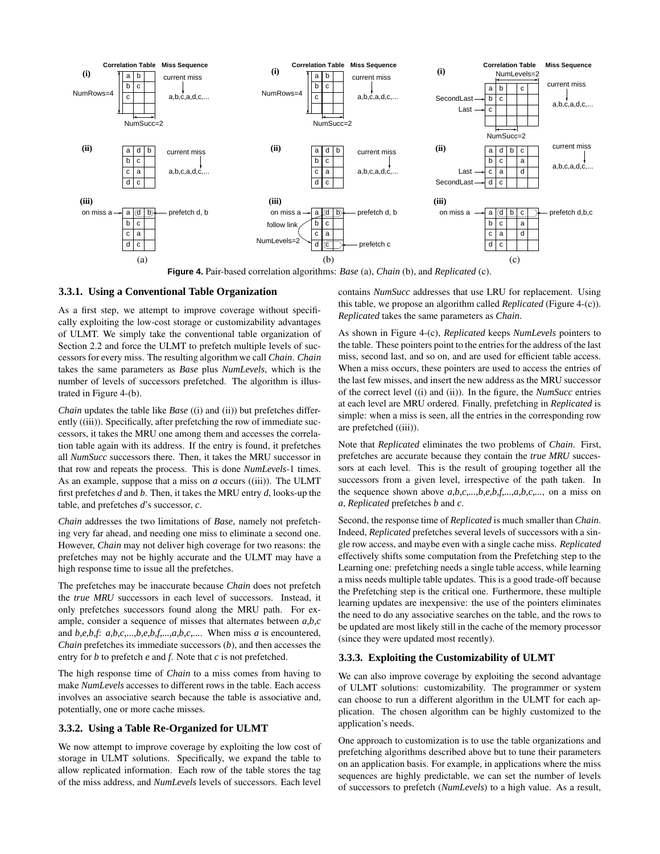

**Figure 4.** Pair-based correlation algorithms: *Base* (a), *Chain* (b), and *Replicated* (c).

#### **3.3.1. Using a Conventional Table Organization**

As a first step, we attempt to improve coverage without specifically exploiting the low-cost storage or customizability advantages of ULMT. We simply take the conventional table organization of Section 2.2 and force the ULMT to prefetch multiple levels of successors for every miss. The resulting algorithm we call *Chain*. *Chain* takes the same parameters as *Base* plus *NumLevels*, which is the number of levels of successors prefetched. The algorithm is illustrated in Figure 4-(b).

*Chain* updates the table like *Base* ((i) and (ii)) but prefetches differently ((iii)). Specifically, after prefetching the row of immediate successors, it takes the MRU one among them and accesses the correlation table again with its address. If the entry is found, it prefetches all *NumSucc* successors there. Then, it takes the MRU successor in that row and repeats the process. This is done *NumLevels*-1 times. As an example, suppose that a miss on *a* occurs ((iii)). The ULMT first prefetches *d* and *b*. Then, it takes the MRU entry *d*, looks-up the table, and prefetches *d*'s successor, *c*.

*Chain* addresses the two limitations of *Base*, namely not prefetching very far ahead, and needing one miss to eliminate a second one. However, *Chain* may not deliver high coverage for two reasons: the prefetches may not be highly accurate and the ULMT may have a high response time to issue all the prefetches.

The prefetches may be inaccurate because *Chain* does not prefetch the *true MRU* successors in each level of successors. Instead, it only prefetches successors found along the MRU path. For example, consider a sequence of misses that alternates between *a,b,c* and *b,e,b,f*: *a,b,c,...,b,e,b,f,...,a,b,c,...*. When miss *a* is encountered, *Chain* prefetches its immediate successors (*b*), and then accesses the entry for *b* to prefetch *e* and *f*. Note that *c* is not prefetched.

The high response time of *Chain* to a miss comes from having to make *NumLevels* accesses to different rows in the table. Each access involves an associative search because the table is associative and, potentially, one or more cache misses.

#### **3.3.2. Using a Table Re-Organized for ULMT**

We now attempt to improve coverage by exploiting the low cost of storage in ULMT solutions. Specifically, we expand the table to allow replicated information. Each row of the table stores the tag of the miss address, and *NumLevels* levels of successors. Each level

contains *NumSucc* addresses that use LRU for replacement. Using this table, we propose an algorithm called *Replicated* (Figure 4-(c)). *Replicated* takes the same parameters as *Chain*.

As shown in Figure 4-(c), *Replicated* keeps *NumLevels* pointers to the table. These pointers point to the entries for the address of the last miss, second last, and so on, and are used for efficient table access. When a miss occurs, these pointers are used to access the entries of the last few misses, and insert the new address as the MRU successor of the correct level ((i) and (ii)). In the figure, the *NumSucc* entries at each level are MRU ordered. Finally, prefetching in *Replicated* is simple: when a miss is seen, all the entries in the corresponding row are prefetched ((iii)).

Note that *Replicated* eliminates the two problems of *Chain*. First, prefetches are accurate because they contain the *true MRU* successors at each level. This is the result of grouping together all the successors from a given level, irrespective of the path taken. In the sequence shown above *a,b,c,...,b,e,b,f,...,a,b,c,...*, on a miss on *a*, *Replicated* prefetches *b* and *c*.

Second, the response time of *Replicated* is much smaller than *Chain*. Indeed, *Replicated* prefetches several levels of successors with a single row access, and maybe even with a single cache miss. *Replicated* effectively shifts some computation from the Prefetching step to the Learning one: prefetching needs a single table access, while learning a miss needs multiple table updates. This is a good trade-off because the Prefetching step is the critical one. Furthermore, these multiple learning updates are inexpensive: the use of the pointers eliminates the need to do any associative searches on the table, and the rows to be updated are most likely still in the cache of the memory processor (since they were updated most recently).

#### **3.3.3. Exploiting the Customizability of ULMT**

We can also improve coverage by exploiting the second advantage of ULMT solutions: customizability. The programmer or system can choose to run a different algorithm in the ULMT for each application. The chosen algorithm can be highly customized to the application's needs.

One approach to customization is to use the table organizations and prefetching algorithms described above but to tune their parameters on an application basis. For example, in applications where the miss sequences are highly predictable, we can set the number of levels of successors to prefetch (*NumLevels*) to a high value. As a result,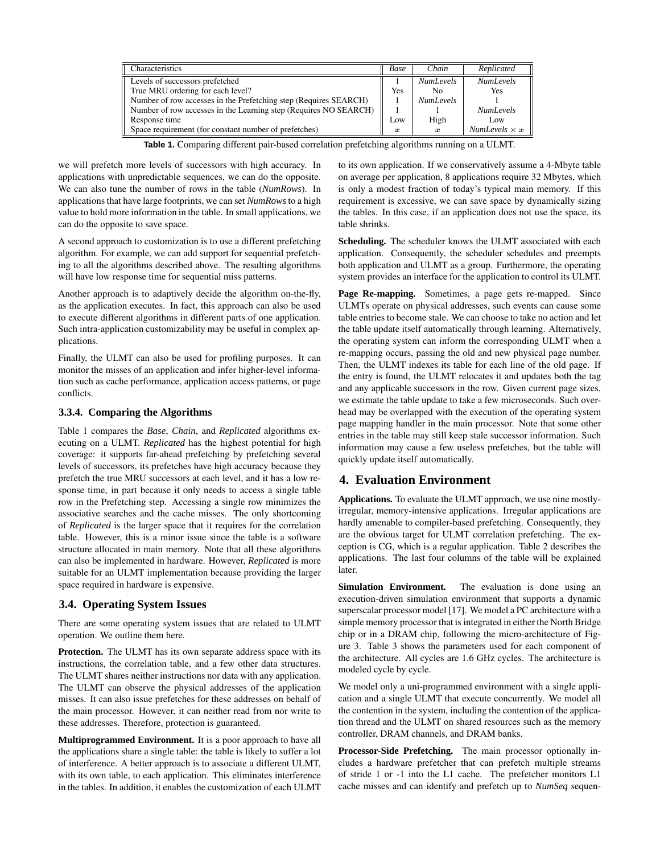| Characteristics                                                  | Base | Chain            | Replicated           |
|------------------------------------------------------------------|------|------------------|----------------------|
| <b>Levels of successors prefetched</b>                           |      | <b>NumLevels</b> | <b>NumLevels</b>     |
| True MRU ordering for each level?                                | Yes  | No               | Yes                  |
| Number of row accesses in the Prefetching step (Requires SEARCH) |      | NumLevels        |                      |
| Number of row accesses in the Learning step (Requires NO SEARCH) |      |                  | <b>NumLevels</b>     |
| Response time                                                    | Low  | High             | Low                  |
| Space requirement (for constant number of prefetches)            | x    | $\boldsymbol{x}$ | $NumLevels \times x$ |

**Table 1.** Comparing different pair-based correlation prefetching algorithms running on a ULMT.

we will prefetch more levels of successors with high accuracy. In applications with unpredictable sequences, we can do the opposite. We can also tune the number of rows in the table (*NumRows*). In applicationsthat have large footprints, we can set *NumRows*to a high value to hold more information in the table. In small applications, we can do the opposite to save space.

A second approach to customization is to use a different prefetching algorithm. For example, we can add support for sequential prefetching to all the algorithms described above. The resulting algorithms will have low response time for sequential miss patterns.

Another approach is to adaptively decide the algorithm on-the-fly, as the application executes. In fact, this approach can also be used to execute different algorithms in different parts of one application. Such intra-application customizability may be useful in complex applications.

Finally, the ULMT can also be used for profiling purposes. It can monitor the misses of an application and infer higher-level information such as cache performance, application access patterns, or page conflicts.

### **3.3.4. Comparing the Algorithms**

Table 1 compares the *Base*, *Chain*, and *Replicated* algorithms executing on a ULMT. *Replicated* has the highest potential for high coverage: it supports far-ahead prefetching by prefetching several levels of successors, its prefetches have high accuracy because they prefetch the true MRU successors at each level, and it has a low response time, in part because it only needs to access a single table row in the Prefetching step. Accessing a single row minimizes the associative searches and the cache misses. The only shortcoming of *Replicated* is the larger space that it requires for the correlation table. However, this is a minor issue since the table is a software structure allocated in main memory. Note that all these algorithms can also be implemented in hardware. However, *Replicated* is more suitable for an ULMT implementation because providing the larger space required in hardware is expensive.

### **3.4. Operating System Issues**

There are some operating system issues that are related to ULMT operation. We outline them here.

**Protection.** The ULMT has its own separate address space with its instructions, the correlation table, and a few other data structures. The ULMT shares neither instructions nor data with any application. The ULMT can observe the physical addresses of the application misses. It can also issue prefetches for these addresses on behalf of the main processor. However, it can neither read from nor write to these addresses. Therefore, protection is guaranteed.

**Multiprogrammed Environment.** It is a poor approach to have all the applications share a single table: the table is likely to suffer a lot of interference. A better approach is to associate a different ULMT, with its own table, to each application. This eliminates interference in the tables. In addition, it enables the customization of each ULMT

to its own application. If we conservatively assume a 4-Mbyte table on average per application, 8 applications require 32 Mbytes, which is only a modest fraction of today's typical main memory. If this requirement is excessive, we can save space by dynamically sizing the tables. In this case, if an application does not use the space, its table shrinks.

**Scheduling.** The scheduler knows the ULMT associated with each application. Consequently, the scheduler schedules and preempts both application and ULMT as a group. Furthermore, the operating system provides an interface for the application to control its ULMT.

**Page Re-mapping.** Sometimes, a page gets re-mapped. Since ULMTs operate on physical addresses, such events can cause some table entries to become stale. We can choose to take no action and let the table update itself automatically through learning. Alternatively, the operating system can inform the corresponding ULMT when a re-mapping occurs, passing the old and new physical page number. Then, the ULMT indexes its table for each line of the old page. If the entry is found, the ULMT relocates it and updates both the tag and any applicable successors in the row. Given current page sizes, we estimate the table update to take a few microseconds. Such overhead may be overlapped with the execution of the operating system page mapping handler in the main processor. Note that some other entries in the table may still keep stale successor information. Such information may cause a few useless prefetches, but the table will quickly update itself automatically.

# **4. Evaluation Environment**

**Applications.** To evaluate the ULMT approach, we use nine mostlyirregular, memory-intensive applications. Irregular applications are hardly amenable to compiler-based prefetching. Consequently, they are the obvious target for ULMT correlation prefetching. The exception is CG, which is a regular application. Table 2 describes the applications. The last four columns of the table will be explained later.

**Simulation Environment.** The evaluation is done using an execution-driven simulation environment that supports a dynamic superscalar processor model [17]. We model a PC architecture with a simple memory processor that is integrated in either the North Bridge chip or in a DRAM chip, following the micro-architecture of Figure 3. Table 3 shows the parameters used for each component of the architecture. All cycles are 1.6 GHz cycles. The architecture is modeled cycle by cycle.

We model only a uni-programmed environment with a single application and a single ULMT that execute concurrently. We model all the contention in the system, including the contention of the application thread and the ULMT on shared resources such as the memory controller, DRAM channels, and DRAM banks.

**Processor-Side Prefetching.** The main processor optionally includes a hardware prefetcher that can prefetch multiple streams of stride 1 or -1 into the L1 cache. The prefetcher monitors L1 cache misses and can identify and prefetch up to *NumSeq* sequen-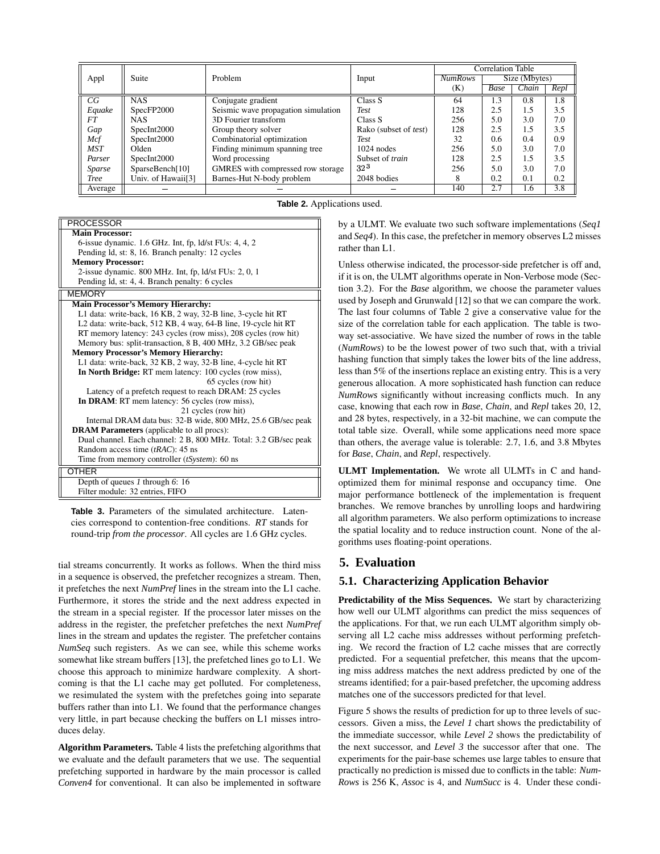|               |                    |                                     | Correlation Table             |                |             |               |                   |
|---------------|--------------------|-------------------------------------|-------------------------------|----------------|-------------|---------------|-------------------|
| Appl          | Suite              | Problem                             | Input                         | <b>NumRows</b> |             | Size (Mbytes) |                   |
|               |                    |                                     |                               | (K)            | <b>Base</b> | Chain         | $\overline{Repl}$ |
| CG            | <b>NAS</b>         | Conjugate gradient                  | Class S                       | 64             |             | 0.8           | 1.8               |
| Equake        | SpecFP2000         | Seismic wave propagation simulation | <b>Test</b>                   | 128            | 2.5         | 1.5           | 3.5               |
| FT            | <b>NAS</b>         | 3D Fourier transform                | Class S                       | 256            | 5.0         | 3.0           | 7.0               |
| Gap           | SpecInt2000        | Group theory solver                 | Rako (subset of <i>test</i> ) | 128            | 2.5         | 1.5           | 3.5               |
| Mcf           | SpecInt2000        | Combinatorial optimization          | <b>Test</b>                   | 32             | 0.6         | 0.4           | 0.9               |
| <b>MST</b>    | Olden              | Finding minimum spanning tree       | $1024$ nodes                  | 256            | 5.0         | 3.0           | 7.0               |
| Parser        | SpecInt2000        | Word processing                     | Subset of <i>train</i>        | 128            | 2.5         | 1.5           | 3.5               |
| <i>Sparse</i> | SparseBench[10]    | GMRES with compressed row storage   | $32^3$                        | 256            | 5.0         | 3.0           | 7.0               |
| <b>Tree</b>   | Univ. of Hawaii[3] | Barnes-Hut N-body problem           | 2048 bodies                   |                | 0.2         | 0.1           | 0.2               |
| Average       |                    |                                     |                               | 140            | 2.7         | 1.6           | 3.8               |

**Table 2.** Applications used.

| <b>PROCESSOR</b>                                                  |
|-------------------------------------------------------------------|
| <b>Main Processor:</b>                                            |
| 6-issue dynamic. $1.6$ GHz. Int, fp, $\frac{Id}{st}$ FUs: 4, 4, 2 |
| Pending Id, st: 8, 16. Branch penalty: 12 cycles                  |
| <b>Memory Processor:</b>                                          |
|                                                                   |
| 2-issue dynamic. $800$ MHz. Int, fp, $\frac{Id}{st}$ FUs: 2, 0, 1 |
| Pending Id, st: 4, 4. Branch penalty: 6 cycles                    |
| <b>MEMORY</b>                                                     |
| <b>Main Processor's Memory Hierarchy:</b>                         |
| L1 data: write-back, 16 KB, 2 way, 32-B line, 3-cycle hit RT      |
| L2 data: write-back, 512 KB, 4 way, 64-B line, 19-cycle hit RT    |
| RT memory latency: 243 cycles (row miss), 208 cycles (row hit)    |
| Memory bus: split-transaction, 8 B, 400 MHz, 3.2 GB/sec peak      |
| <b>Memory Processor's Memory Hierarchy:</b>                       |
| L1 data: write-back, 32 KB, 2 way, 32-B line, 4-cycle hit RT      |
| In North Bridge: RT mem latency: 100 cycles (row miss),           |
| 65 cycles (row hit)                                               |
| Latency of a prefetch request to reach DRAM: 25 cycles            |
| In DRAM: RT mem latency: 56 cycles (row miss),                    |
| 21 cycles (row hit)                                               |
| Internal DRAM data bus: 32-B wide, 800 MHz, 25.6 GB/sec peak      |
| <b>DRAM Parameters</b> (applicable to all procs):                 |
| Dual channel. Each channel: 2 B, 800 MHz. Total: 3.2 GB/sec peak  |
| Random access time $(tRAC)$ : 45 ns                               |
| Time from memory controller $(tSystem)$ : 60 ns                   |
| <b>OTHER</b>                                                      |
|                                                                   |
| Depth of queues $1$ through 6: 16                                 |
| Filter module: 32 entries, FIFO                                   |

**Table 3.** Parameters of the simulated architecture. Latencies correspond to contention-free conditions. *RT* stands for round-trip *from the processor*. All cycles are 1.6 GHz cycles.

tial streams concurrently. It works as follows. When the third miss in a sequence is observed, the prefetcher recognizes a stream. Then, it prefetches the next *NumPref* lines in the stream into the L1 cache. Furthermore, it stores the stride and the next address expected in the stream in a special register. If the processor later misses on the address in the register, the prefetcher prefetches the next *NumPref* lines in the stream and updates the register. The prefetcher contains *NumSeq* such registers. As we can see, while this scheme works somewhat like stream buffers [13], the prefetched lines go to L1. We choose this approach to minimize hardware complexity. A shortcoming is that the L1 cache may get polluted. For completeness, we resimulated the system with the prefetches going into separate buffers rather than into L1. We found that the performance changes very little, in part because checking the buffers on L1 misses introduces delay.

**Algorithm Parameters.** Table 4 lists the prefetching algorithms that we evaluate and the default parameters that we use. The sequential prefetching supported in hardware by the main processor is called *Conven4* for conventional. It can also be implemented in software

by a ULMT. We evaluate two such software implementations (*Seq1* and *Seq4*). In this case, the prefetcher in memory observes L2 misses rather than L1.

Unless otherwise indicated, the processor-side prefetcher is off and, if it is on, the ULMT algorithms operate in Non-Verbose mode (Section 3.2). For the *Base* algorithm, we choose the parameter values used by Joseph and Grunwald [12] so that we can compare the work. The last four columns of Table 2 give a conservative value for the size of the correlation table for each application. The table is twoway set-associative. We have sized the number of rows in the table (*NumRows*) to be the lowest power of two such that, with a trivial hashing function that simply takes the lower bits of the line address, less than 5% of the insertions replace an existing entry. This is a very generous allocation. A more sophisticated hash function can reduce *NumRows* significantly without increasing conflicts much. In any case, knowing that each row in *Base*, *Chain*, and *Repl* takes 20, 12, and 28 bytes, respectively, in a 32-bit machine, we can compute the total table size. Overall, while some applications need more space than others, the average value is tolerable: 2.7, 1.6, and 3.8 Mbytes for *Base*, *Chain*, and *Repl*, respectively.

**ULMT Implementation.** We wrote all ULMTs in C and handoptimized them for minimal response and occupancy time. One major performance bottleneck of the implementation is frequent branches. We remove branches by unrolling loops and hardwiring all algorithm parameters. We also perform optimizations to increase the spatial locality and to reduce instruction count. None of the algorithms uses floating-point operations.

# **5. Evaluation**

# **5.1. Characterizing Application Behavior**

**Predictability of the Miss Sequences.** We start by characterizing how well our ULMT algorithms can predict the miss sequences of the applications. For that, we run each ULMT algorithm simply observing all L2 cache miss addresses without performing prefetching. We record the fraction of L2 cache misses that are correctly predicted. For a sequential prefetcher, this means that the upcoming miss address matches the next address predicted by one of the streams identified; for a pair-based prefetcher, the upcoming address matches one of the successors predicted for that level.

Figure 5 shows the results of prediction for up to three levels of successors. Given a miss, the *Level 1* chart shows the predictability of the immediate successor, while *Level 2* shows the predictability of the next successor, and *Level 3* the successor after that one. The experiments for the pair-base schemes use large tables to ensure that practically no prediction is missed due to conflicts in the table: *Num-Rows* is 256 K, *Assoc* is 4, and *NumSucc* is 4. Under these condi-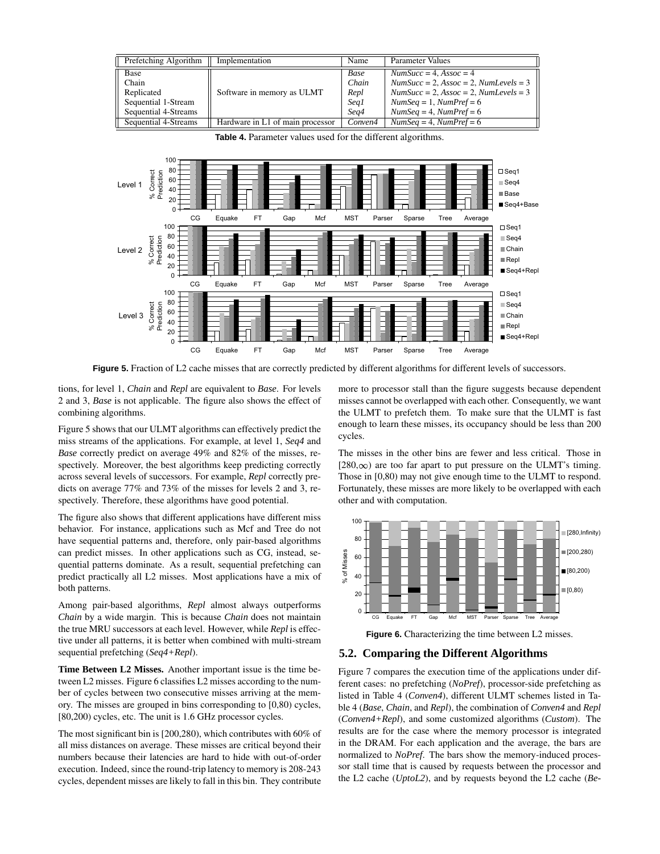| Prefetching Algorithm                              | Implementation                   | Name                          | <b>Parameter Values</b>                                                                                                                           |
|----------------------------------------------------|----------------------------------|-------------------------------|---------------------------------------------------------------------------------------------------------------------------------------------------|
| Base<br>Chain<br>Replicated<br>Sequential 1-Stream | Software in memory as ULMT       | Base<br>Chain<br>Repl<br>Sea1 | $NumSucc = 4, Assoc = 4$<br>$NumSucc = 2, Assoc = 2, NumLevels = 3$<br>$NumSucc = 2$ , $Assoc = 2$ , $NumLevels = 3$<br>$NumSeq = 1, NumPref = 6$ |
| Sequential 4-Streams                               |                                  | Sea4                          | $NumSeq = 4$ , $NumPref = 6$                                                                                                                      |
| Sequential 4-Streams                               | Hardware in L1 of main processor | Conven4                       | $NumSeq = 4$ , $NumPref = 6$                                                                                                                      |

**Table 4.** Parameter values used for the different algorithms.



**Figure 5.** Fraction of L2 cache misses that are correctly predicted by different algorithms for different levels of successors.

tions, for level 1, *Chain* and *Repl* are equivalent to *Base*. For levels 2 and 3, *Base* is not applicable. The figure also shows the effect of combining algorithms.

Figure 5 shows that our ULMT algorithms can effectively predict the miss streams of the applications. For example, at level 1, *Seq4* and *Base* correctly predict on average 49% and 82% of the misses, respectively. Moreover, the best algorithms keep predicting correctly across several levels of successors. For example, *Repl* correctly predicts on average 77% and 73% of the misses for levels 2 and 3, respectively. Therefore, these algorithms have good potential.

The figure also shows that different applications have different miss behavior. For instance, applications such as Mcf and Tree do not have sequential patterns and, therefore, only pair-based algorithms can predict misses. In other applications such as CG, instead, sequential patterns dominate. As a result, sequential prefetching can predict practically all L2 misses. Most applications have a mix of both patterns.

Among pair-based algorithms, *Repl* almost always outperforms *Chain* by a wide margin. This is because *Chain* does not maintain the true MRU successors at each level. However, while *Repl* is effective under all patterns, it is better when combined with multi-stream sequential prefetching (*Seq4+Repl*).

**Time Between L2 Misses.** Another important issue is the time between L2 misses. Figure 6 classifies L2 misses according to the number of cycles between two consecutive misses arriving at the memory. The misses are grouped in bins corresponding to [0,80) cycles, [80,200) cycles, etc. The unit is 1.6 GHz processor cycles.

The most significant bin is [200,280), which contributes with 60% of all miss distances on average. These misses are critical beyond their numbers because their latencies are hard to hide with out-of-order execution. Indeed, since the round-trip latency to memory is 208-243 cycles, dependent misses are likely to fall in this bin. They contribute

more to processor stall than the figure suggests because dependent misses cannot be overlapped with each other. Consequently, we want the ULMT to prefetch them. To make sure that the ULMT is fast enough to learn these misses, its occupancy should be less than 200 cycles.

The misses in the other bins are fewer and less critical. Those in  $[280,\infty)$  are too far apart to put pressure on the ULMT's timing. Those in [0,80) may not give enough time to the ULMT to respond. Fortunately, these misses are more likely to be overlapped with each other and with computation.



**Figure 6.** Characterizing the time between L2 misses.

## **5.2. Comparing the Different Algorithms**

Figure 7 compares the execution time of the applications under different cases: no prefetching (*NoPref*), processor-side prefetching as listed in Table 4 (*Conven4*), different ULMT schemes listed in Table 4 (*Base*, *Chain*, and *Repl*), the combination of *Conven4* and *Repl* (*Conven4+Repl*), and some customized algorithms (*Custom*). The results are for the case where the memory processor is integrated in the DRAM. For each application and the average, the bars are normalized to *NoPref*. The bars show the memory-induced processor stall time that is caused by requests between the processor and the L2 cache (*UptoL2*), and by requests beyond the L2 cache (*Be-*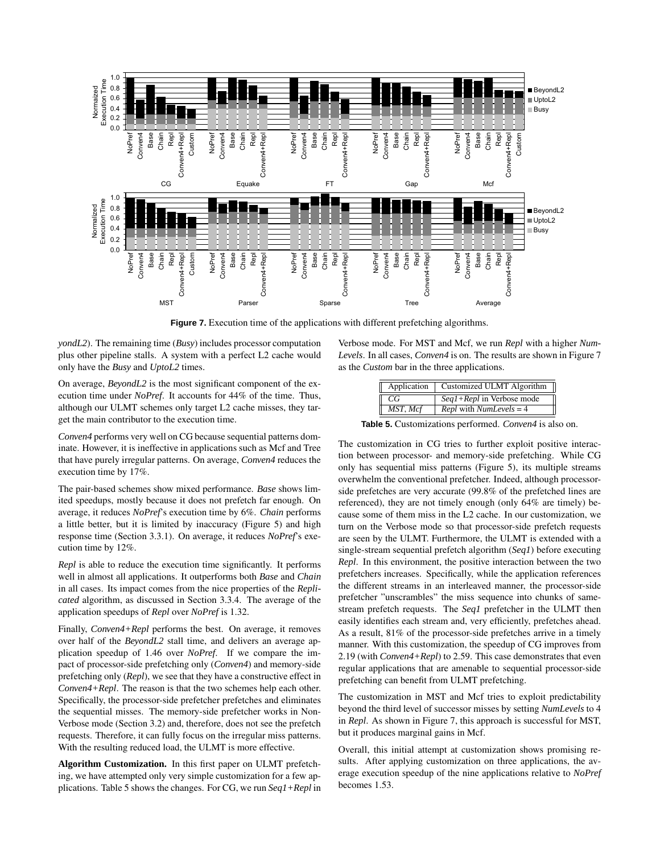

**Figure 7.** Execution time of the applications with different prefetching algorithms.

*yondL2*). The remaining time (*Busy*) includes processor computation plus other pipeline stalls. A system with a perfect L2 cache would only have the *Busy* and *UptoL2* times.

On average, *BeyondL2* is the most significant component of the execution time under *NoPref*. It accounts for 44% of the time. Thus, although our ULMT schemes only target L2 cache misses, they target the main contributor to the execution time.

*Conven4* performs very well on CG because sequential patterns dominate. However, it is ineffective in applications such as Mcf and Tree that have purely irregular patterns. On average, *Conven4* reduces the execution time by 17%.

The pair-based schemes show mixed performance. *Base* shows limited speedups, mostly because it does not prefetch far enough. On average, it reduces *NoPref*'s execution time by 6%. *Chain* performs a little better, but it is limited by inaccuracy (Figure 5) and high response time (Section 3.3.1). On average, it reduces *NoPref*'s execution time by 12%.

*Repl* is able to reduce the execution time significantly. It performs well in almost all applications. It outperforms both *Base* and *Chain* in all cases. Its impact comes from the nice properties of the *Replicated* algorithm, as discussed in Section 3.3.4. The average of the application speedups of *Repl* over *NoPref* is 1.32.

Finally, *Conven4+Repl* performs the best. On average, it removes over half of the *BeyondL2* stall time, and delivers an average application speedup of 1.46 over *NoPref*. If we compare the impact of processor-side prefetching only (*Conven4*) and memory-side prefetching only (*Repl*), we see that they have a constructive effect in *Conven4+Repl*. The reason is that the two schemes help each other. Specifically, the processor-side prefetcher prefetches and eliminates the sequential misses. The memory-side prefetcher works in Non-Verbose mode (Section 3.2) and, therefore, does not see the prefetch requests. Therefore, it can fully focus on the irregular miss patterns. With the resulting reduced load, the ULMT is more effective.

**Algorithm Customization.** In this first paper on ULMT prefetching, we have attempted only very simple customization for a few applications. Table 5 shows the changes. For CG, we run *Seq1+Repl* in

Verbose mode. For MST and Mcf, we run *Repl* with a higher *Num-Levels*. In all cases, *Conven4* is on. The results are shown in Figure 7 as the *Custom* bar in the three applications.

|          | Application   Customized ULMT Algorithm |
|----------|-----------------------------------------|
| CG       | $Seq1+Repl$ in Verbose mode             |
| MST, Mcf | $Repl$ with $NumLevels = 4$             |

**Table 5.** Customizations performed. *Conven4* is also on.

The customization in CG tries to further exploit positive interaction between processor- and memory-side prefetching. While CG only has sequential miss patterns (Figure 5), its multiple streams overwhelm the conventional prefetcher. Indeed, although processorside prefetches are very accurate (99.8% of the prefetched lines are referenced), they are not timely enough (only 64% are timely) because some of them miss in the L2 cache. In our customization, we turn on the Verbose mode so that processor-side prefetch requests are seen by the ULMT. Furthermore, the ULMT is extended with a single-stream sequential prefetch algorithm (*Seq1*) before executing *Repl*. In this environment, the positive interaction between the two prefetchers increases. Specifically, while the application references the different streams in an interleaved manner, the processor-side prefetcher "unscrambles" the miss sequence into chunks of samestream prefetch requests. The *Seq1* prefetcher in the ULMT then easily identifies each stream and, very efficiently, prefetches ahead. As a result, 81% of the processor-side prefetches arrive in a timely manner. With this customization, the speedup of CG improves from 2.19 (with *Conven4+Repl*) to 2.59. This case demonstrates that even regular applications that are amenable to sequential processor-side prefetching can benefit from ULMT prefetching.

The customization in MST and Mcf tries to exploit predictability beyond the third level of successor misses by setting *NumLevels* to 4 in *Repl*. As shown in Figure 7, this approach is successful for MST, but it produces marginal gains in Mcf.

Overall, this initial attempt at customization shows promising results. After applying customization on three applications, the average execution speedup of the nine applications relative to *NoPref* becomes 1.53.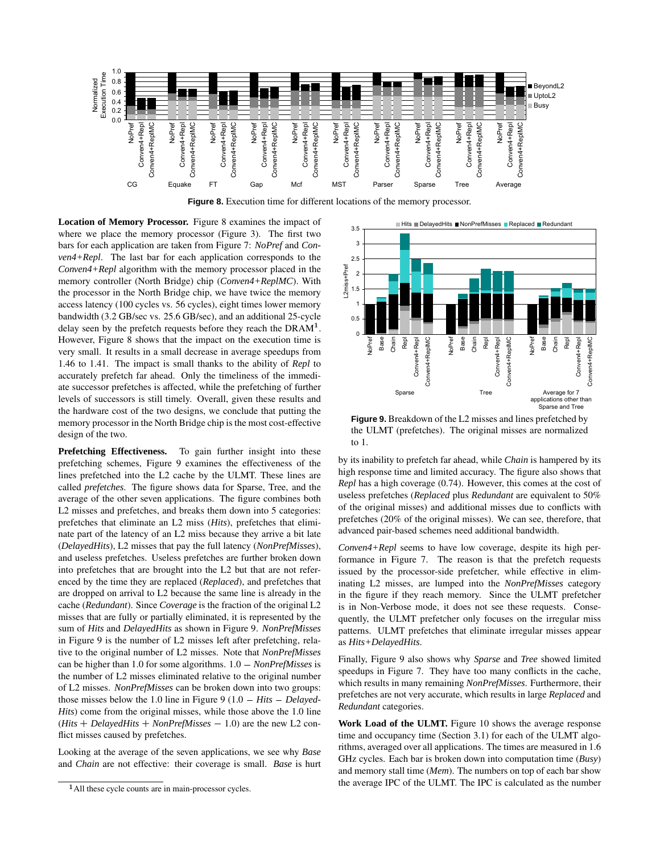

**Figure 8.** Execution time for different locations of the memory processor.

**Location of Memory Processor.** Figure 8 examines the impact of where we place the memory processor (Figure 3). The first two bars for each application are taken from Figure 7: *NoPref* and *Conven4+Repl*. The last bar for each application corresponds to the *Conven4+Repl* algorithm with the memory processor placed in the memory controller (North Bridge) chip (*Conven4+ReplMC*). With the processor in the North Bridge chip, we have twice the memory access latency (100 cycles vs. 56 cycles), eight times lower memory bandwidth (3.2 GB/sec vs. 25.6 GB/sec), and an additional 25-cycle delay seen by the prefetch requests before they reach the  $DRAM<sup>1</sup>$ . However, Figure 8 shows that the impact on the execution time is very small. It results in a small decrease in average speedups from 1.46 to 1.41. The impact is small thanks to the ability of *Repl* to accurately prefetch far ahead. Only the timeliness of the immediate successor prefetches is affected, while the prefetching of further levels of successors is still timely. Overall, given these results and the hardware cost of the two designs, we conclude that putting the memory processor in the North Bridge chip is the most cost-effective design of the two.

**Prefetching Effectiveness.** To gain further insight into these prefetching schemes, Figure 9 examines the effectiveness of the lines prefetched into the L2 cache by the ULMT. These lines are called *prefetches*. The figure shows data for Sparse, Tree, and the average of the other seven applications. The figure combines both L2 misses and prefetches, and breaks them down into 5 categories: prefetches that eliminate an L2 miss (*Hits*), prefetches that eliminate part of the latency of an L2 miss because they arrive a bit late (*DelayedHits*), L2 misses that pay the full latency (*NonPrefMisses*), and useless prefetches. Useless prefetches are further broken down into prefetches that are brought into the L2 but that are not referenced by the time they are replaced (*Replaced*), and prefetches that are dropped on arrival to L2 because the same line is already in the cache (*Redundant*). Since *Coverage* is the fraction of the original L2 misses that are fully or partially eliminated, it is represented by the sum of *Hits* and *DelayedHits* as shown in Figure 9. *NonPrefMisses* in Figure 9 is the number of L2 misses left after prefetching, relative to the original number of L2 misses. Note that *NonPrefMisses* can be higher than 1.0 for some algorithms. 1.0 *NonPrefMisses* is the number of L2 misses eliminated relative to the original number of L2 misses. *NonPrefMisses* can be broken down into two groups: those misses below the 1.0 line in Figure 9 (1.0 *Hits Delayed-Hits*) come from the original misses, while those above the 1.0 line  $(Hits + DelayedHits + NonPrefMisses - 1.0)$  are the new L2 conflict misses caused by prefetches.

Looking at the average of the seven applications, we see why *Base* and *Chain* are not effective: their coverage is small. *Base* is hurt



**Figure 9.** Breakdown of the L2 misses and lines prefetched by the ULMT (prefetches). The original misses are normalized to 1.

by its inability to prefetch far ahead, while *Chain* is hampered by its high response time and limited accuracy. The figure also shows that *Repl* has a high coverage (0.74). However, this comes at the cost of useless prefetches (*Replaced* plus *Redundant* are equivalent to 50% of the original misses) and additional misses due to conflicts with prefetches (20% of the original misses). We can see, therefore, that advanced pair-based schemes need additional bandwidth.

*Conven4+Repl* seems to have low coverage, despite its high performance in Figure 7. The reason is that the prefetch requests issued by the processor-side prefetcher, while effective in eliminating L2 misses, are lumped into the *NonPrefMisses* category in the figure if they reach memory. Since the ULMT prefetcher is in Non-Verbose mode, it does not see these requests. Consequently, the ULMT prefetcher only focuses on the irregular miss patterns. ULMT prefetches that eliminate irregular misses appear as *Hits+DelayedHits*.

Finally, Figure 9 also shows why *Sparse* and *Tree* showed limited speedups in Figure 7. They have too many conflicts in the cache, which results in many remaining *NonPrefMisses*. Furthermore, their prefetches are not very accurate, which results in large *Replaced* and *Redundant* categories.

**Work Load of the ULMT.** Figure 10 shows the average response time and occupancy time (Section 3.1) for each of the ULMT algorithms, averaged over all applications. The times are measured in 1.6 GHz cycles. Each bar is broken down into computation time (*Busy*) and memory stall time (*Mem*). The numbers on top of each bar show the average IPC of the ULMT. The IPC is calculated as the number

<sup>&</sup>lt;sup>1</sup>All these cycle counts are in main-processor cycles.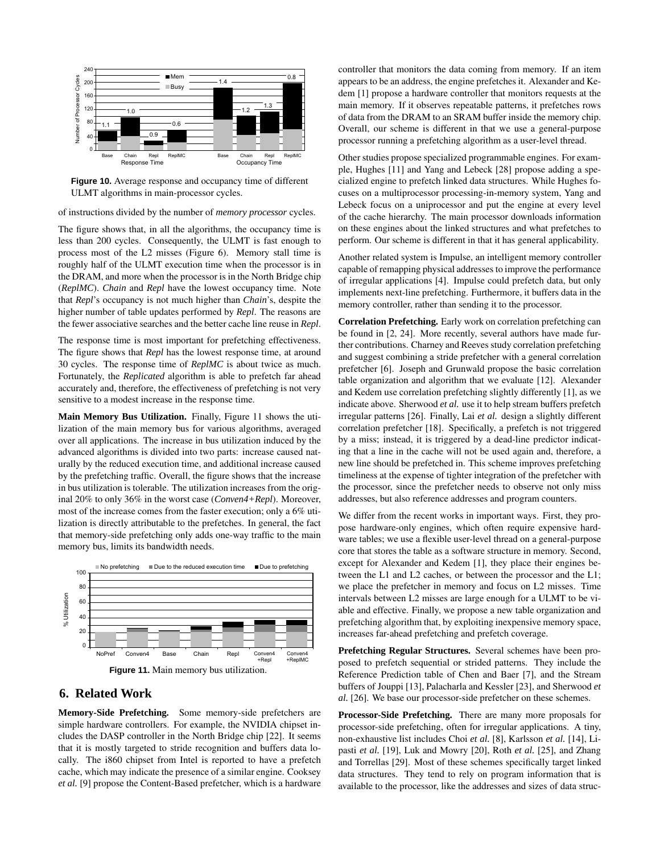

**Figure 10.** Average response and occupancy time of different ULMT algorithms in main-processor cycles.

of instructions divided by the number of *memory processor* cycles.

The figure shows that, in all the algorithms, the occupancy time is less than 200 cycles. Consequently, the ULMT is fast enough to process most of the L2 misses (Figure 6). Memory stall time is roughly half of the ULMT execution time when the processor is in the DRAM, and more when the processor is in the North Bridge chip (*ReplMC*). *Chain* and *Repl* have the lowest occupancy time. Note that *Repl*'s occupancy is not much higher than *Chain*'s, despite the higher number of table updates performed by *Repl*. The reasons are the fewer associative searches and the better cache line reuse in *Repl*.

The response time is most important for prefetching effectiveness. The figure shows that *Repl* has the lowest response time, at around 30 cycles. The response time of *ReplMC* is about twice as much. Fortunately, the *Replicated* algorithm is able to prefetch far ahead accurately and, therefore, the effectiveness of prefetching is not very sensitive to a modest increase in the response time.

**Main Memory Bus Utilization.** Finally, Figure 11 shows the utilization of the main memory bus for various algorithms, averaged over all applications. The increase in bus utilization induced by the advanced algorithms is divided into two parts: increase caused naturally by the reduced execution time, and additional increase caused by the prefetching traffic. Overall, the figure shows that the increase in bus utilization is tolerable. The utilization increases from the original 20% to only 36% in the worst case (*Conven4+Repl*). Moreover, most of the increase comes from the faster execution; only a 6% utilization is directly attributable to the prefetches. In general, the fact that memory-side prefetching only adds one-way traffic to the main memory bus, limits its bandwidth needs.



**Figure 11.** Main memory bus utilization.

# **6. Related Work**

**Memory-Side Prefetching.** Some memory-side prefetchers are simple hardware controllers. For example, the NVIDIA chipset includes the DASP controller in the North Bridge chip [22]. It seems that it is mostly targeted to stride recognition and buffers data locally. The i860 chipset from Intel is reported to have a prefetch cache, which may indicate the presence of a similar engine. Cooksey *et al.* [9] propose the Content-Based prefetcher, which is a hardware

controller that monitors the data coming from memory. If an item appears to be an address, the engine prefetches it. Alexander and Kedem [1] propose a hardware controller that monitors requests at the main memory. If it observes repeatable patterns, it prefetches rows of data from the DRAM to an SRAM buffer inside the memory chip. Overall, our scheme is different in that we use a general-purpose processor running a prefetching algorithm as a user-level thread.

Other studies propose specialized programmable engines. For example, Hughes [11] and Yang and Lebeck [28] propose adding a specialized engine to prefetch linked data structures. While Hughes focuses on a multiprocessor processing-in-memory system, Yang and Lebeck focus on a uniprocessor and put the engine at every level of the cache hierarchy. The main processor downloads information on these engines about the linked structures and what prefetches to perform. Our scheme is different in that it has general applicability.

Another related system is Impulse, an intelligent memory controller capable of remapping physical addresses to improve the performance of irregular applications [4]. Impulse could prefetch data, but only implements next-line prefetching. Furthermore, it buffers data in the memory controller, rather than sending it to the processor.

**Correlation Prefetching.** Early work on correlation prefetching can be found in [2, 24]. More recently, several authors have made further contributions. Charney and Reeves study correlation prefetching and suggest combining a stride prefetcher with a general correlation prefetcher [6]. Joseph and Grunwald propose the basic correlation table organization and algorithm that we evaluate [12]. Alexander and Kedem use correlation prefetching slightly differently [1], as we indicate above. Sherwood *et al.* use it to help stream buffers prefetch irregular patterns [26]. Finally, Lai *et al.* design a slightly different correlation prefetcher [18]. Specifically, a prefetch is not triggered by a miss; instead, it is triggered by a dead-line predictor indicating that a line in the cache will not be used again and, therefore, a new line should be prefetched in. This scheme improves prefetching timeliness at the expense of tighter integration of the prefetcher with the processor, since the prefetcher needs to observe not only miss addresses, but also reference addresses and program counters.

We differ from the recent works in important ways. First, they propose hardware-only engines, which often require expensive hardware tables; we use a flexible user-level thread on a general-purpose core that stores the table as a software structure in memory. Second, except for Alexander and Kedem [1], they place their engines between the L1 and L2 caches, or between the processor and the L1; we place the prefetcher in memory and focus on L2 misses. Time intervals between L2 misses are large enough for a ULMT to be viable and effective. Finally, we propose a new table organization and prefetching algorithm that, by exploiting inexpensive memory space, increases far-ahead prefetching and prefetch coverage.

**Prefetching Regular Structures.** Several schemes have been proposed to prefetch sequential or strided patterns. They include the Reference Prediction table of Chen and Baer [7], and the Stream buffers of Jouppi [13], Palacharla and Kessler [23], and Sherwood *et al.* [26]. We base our processor-side prefetcher on these schemes.

**Processor-Side Prefetching.** There are many more proposals for processor-side prefetching, often for irregular applications. A tiny, non-exhaustive list includes Choi *et al.* [8], Karlsson *et al.* [14], Lipasti *et al.* [19], Luk and Mowry [20], Roth *et al.* [25], and Zhang and Torrellas [29]. Most of these schemes specifically target linked data structures. They tend to rely on program information that is available to the processor, like the addresses and sizes of data struc